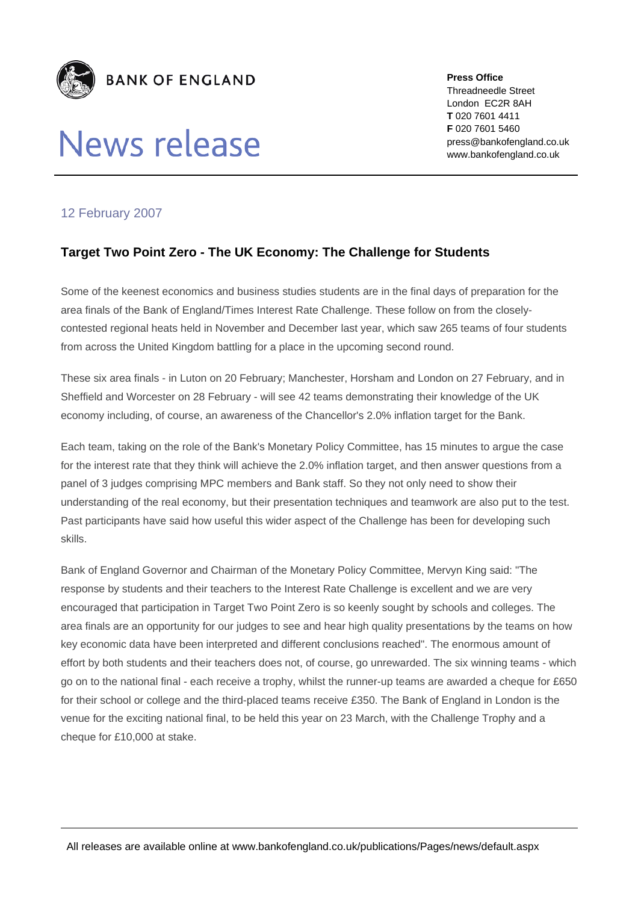

## **News release**

**Press Office**  Threadneedle Street London EC2R 8AH **T** 020 7601 4411 **F** 020 7601 5460 press@bankofengland.co.uk www.bankofengland.co.uk

## 12 February 2007

## **Target Two Point Zero - The UK Economy: The Challenge for Students**

Some of the keenest economics and business studies students are in the final days of preparation for the area finals of the Bank of England/Times Interest Rate Challenge. These follow on from the closelycontested regional heats held in November and December last year, which saw 265 teams of four students from across the United Kingdom battling for a place in the upcoming second round.

These six area finals - in Luton on 20 February; Manchester, Horsham and London on 27 February, and in Sheffield and Worcester on 28 February - will see 42 teams demonstrating their knowledge of the UK economy including, of course, an awareness of the Chancellor's 2.0% inflation target for the Bank.

Each team, taking on the role of the Bank's Monetary Policy Committee, has 15 minutes to argue the case for the interest rate that they think will achieve the 2.0% inflation target, and then answer questions from a panel of 3 judges comprising MPC members and Bank staff. So they not only need to show their understanding of the real economy, but their presentation techniques and teamwork are also put to the test. Past participants have said how useful this wider aspect of the Challenge has been for developing such skills.

Bank of England Governor and Chairman of the Monetary Policy Committee, Mervyn King said: "The response by students and their teachers to the Interest Rate Challenge is excellent and we are very encouraged that participation in Target Two Point Zero is so keenly sought by schools and colleges. The area finals are an opportunity for our judges to see and hear high quality presentations by the teams on how key economic data have been interpreted and different conclusions reached". The enormous amount of effort by both students and their teachers does not, of course, go unrewarded. The six winning teams - which go on to the national final - each receive a trophy, whilst the runner-up teams are awarded a cheque for £650 for their school or college and the third-placed teams receive £350. The Bank of England in London is the venue for the exciting national final, to be held this year on 23 March, with the Challenge Trophy and a cheque for £10,000 at stake.